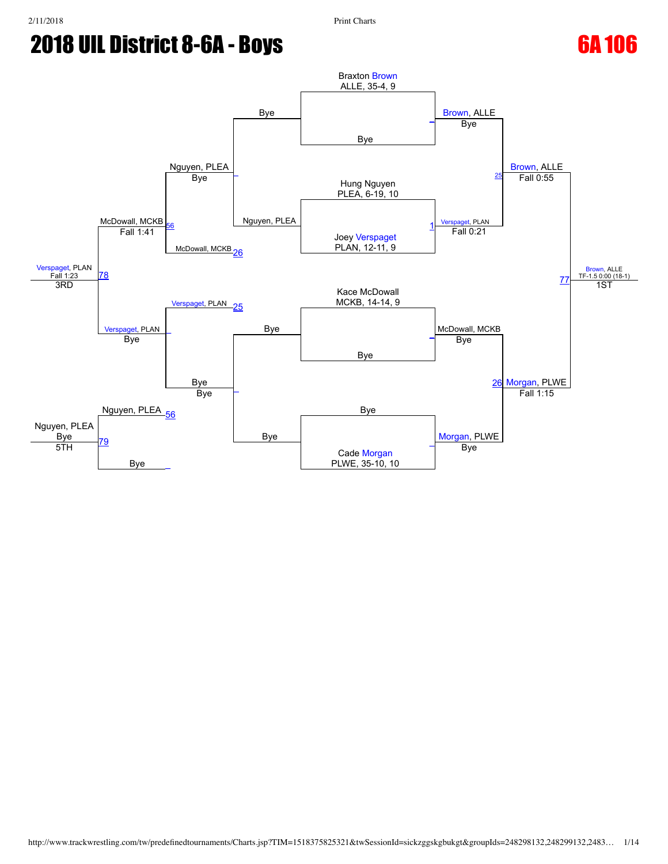

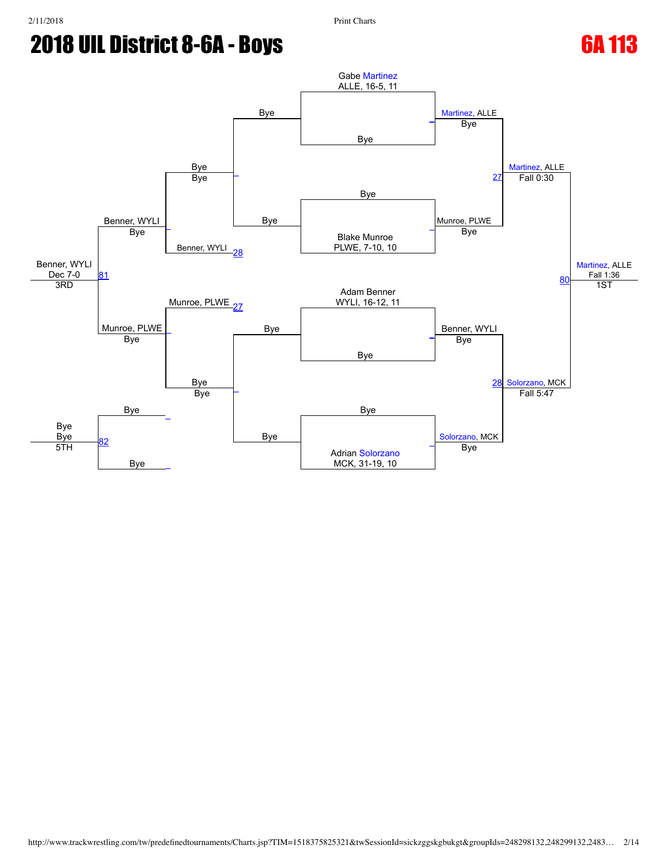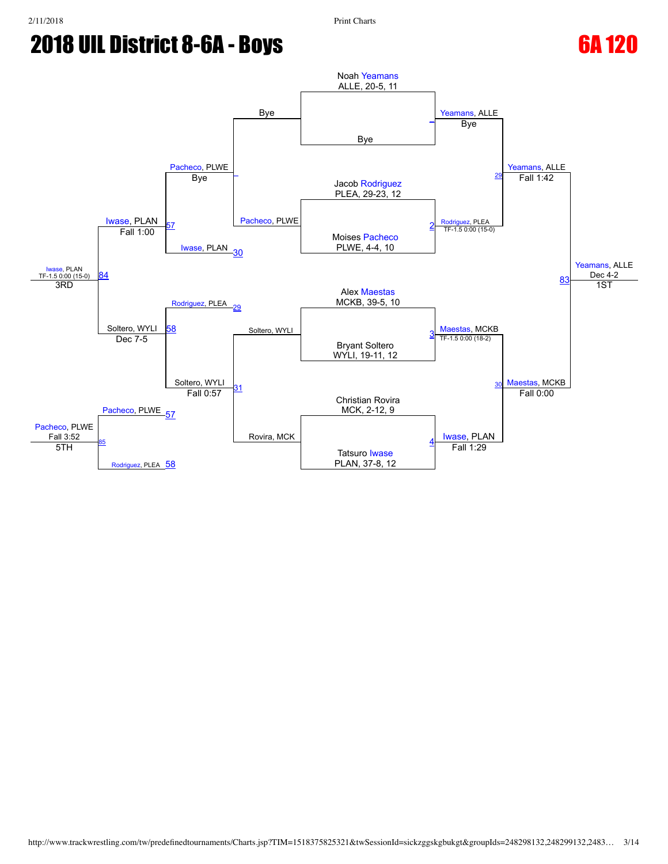

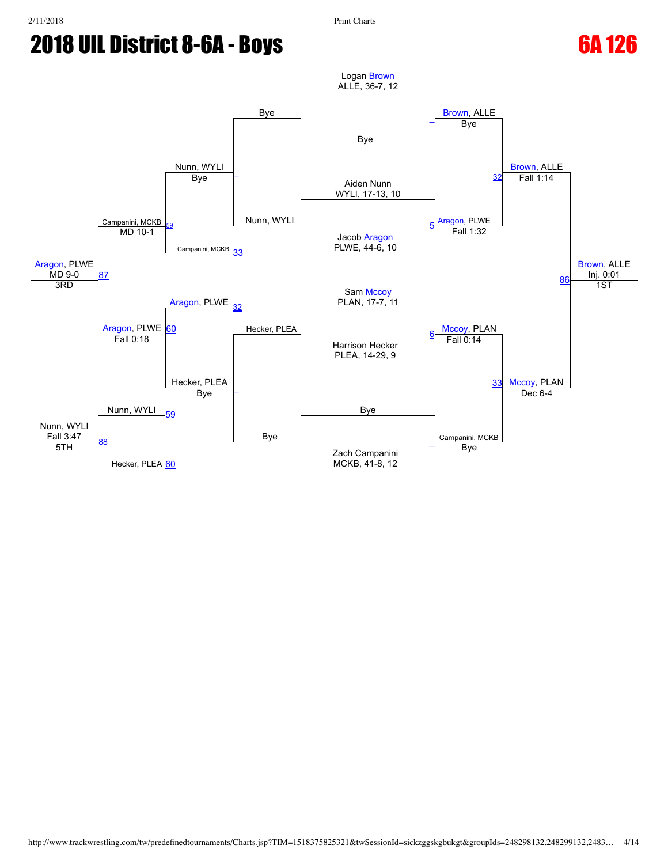

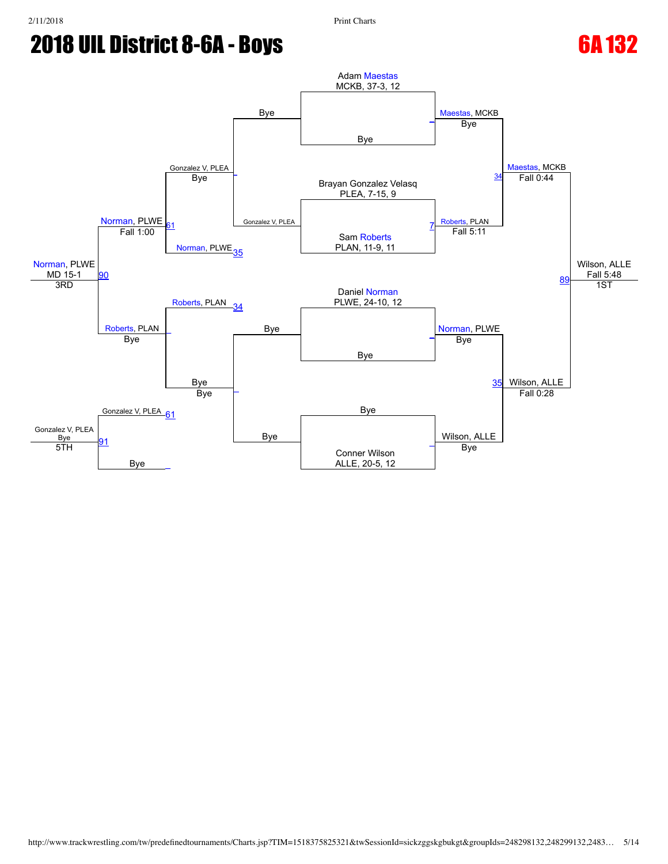

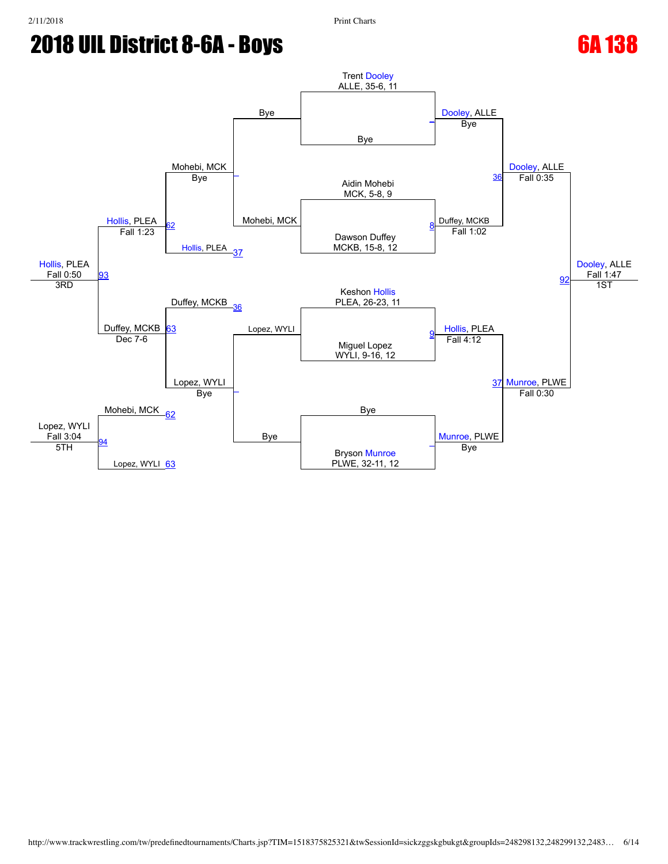

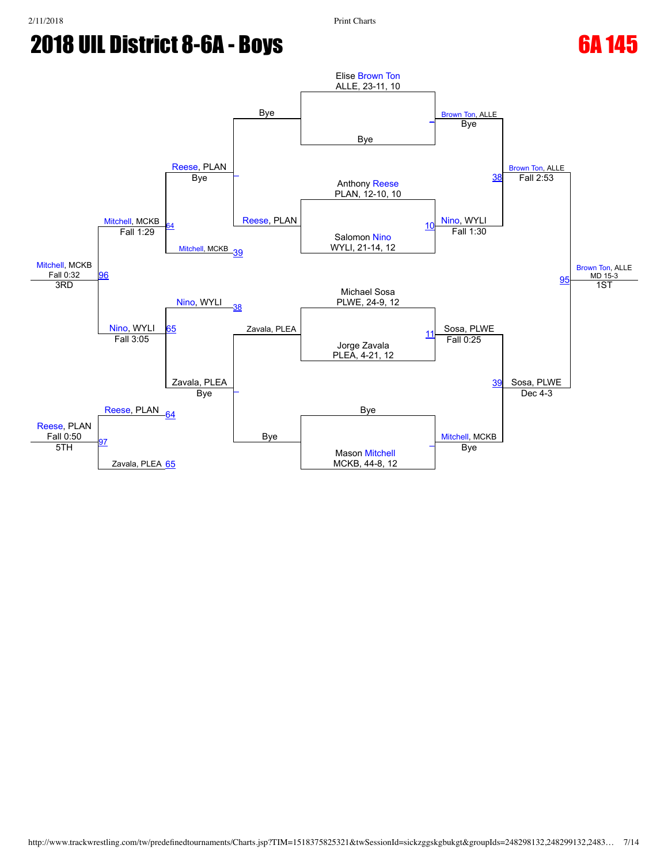

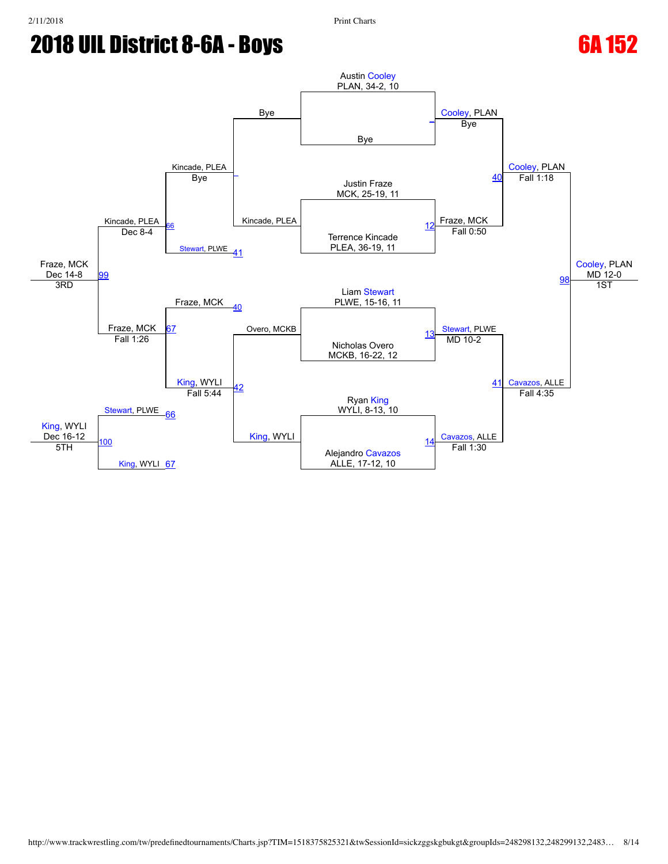

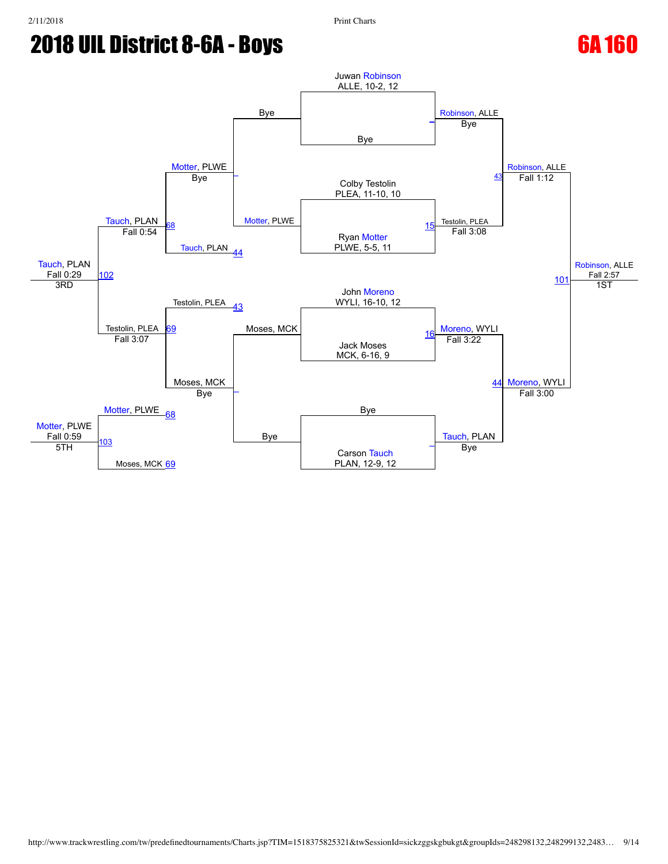

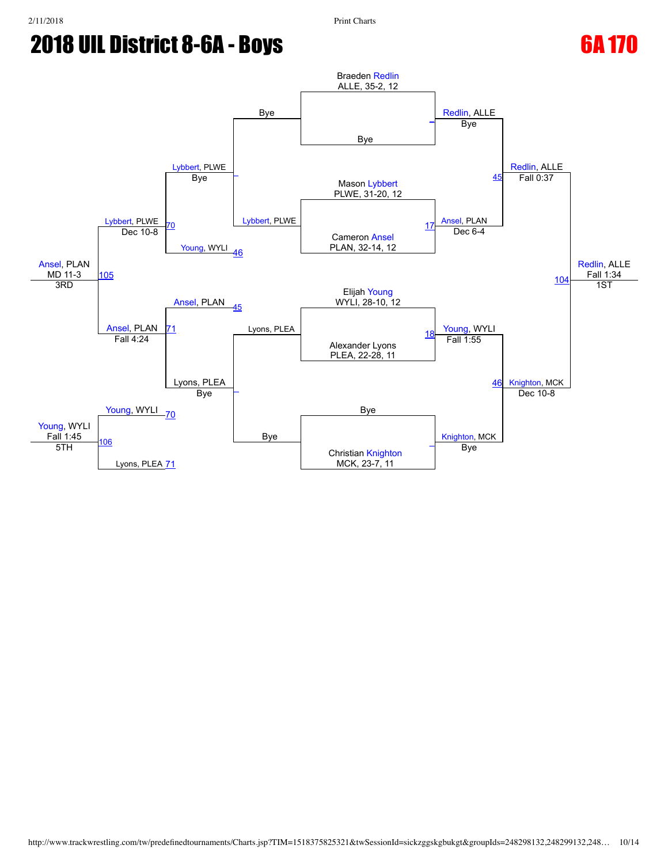$MD$  11-3

3RD

[Young](javascript:viewProfile(361765132)), WYLI Fall 1:45

5TH

[106](javascript:openBoutSheet(13,)

Lyons, PLEA [71](javascript:openBoutSheet(10,)



Christian [Knighton](javascript:viewProfile(256644132)) MCK, 23-7, 11

[Knighton,](javascript:viewProfile(256644132)) MCK

Bye

[\\_](javascript:openBoutSheet(4,)

Bye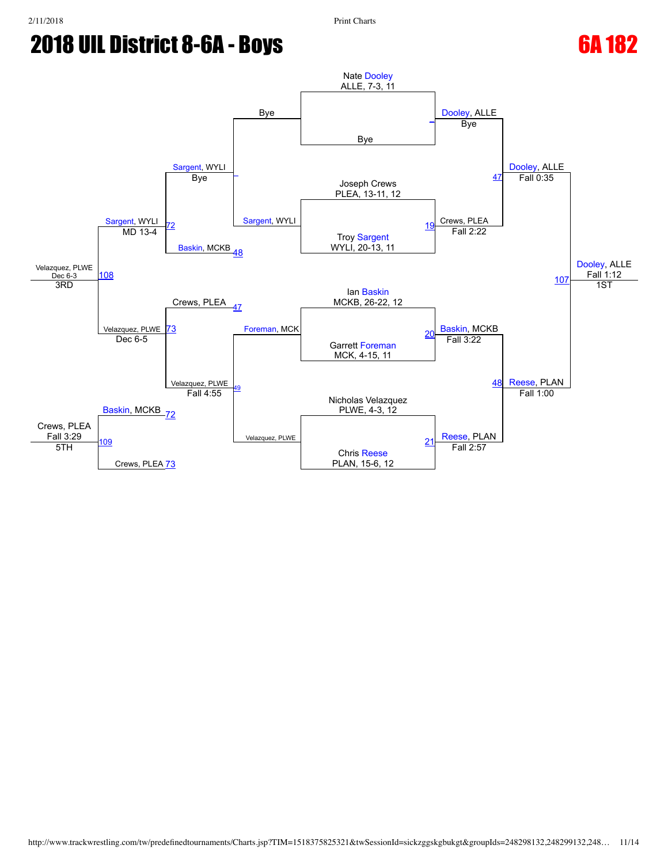

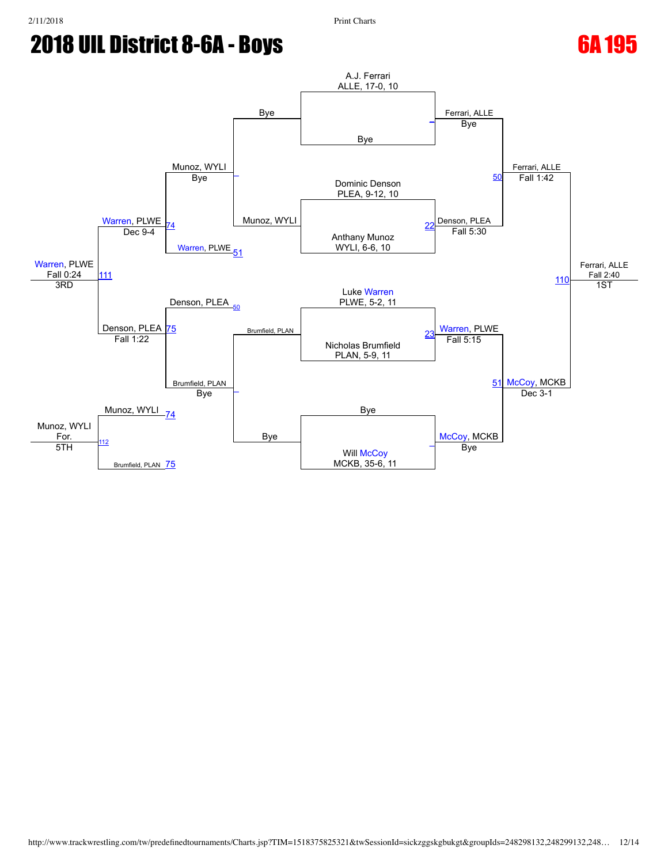

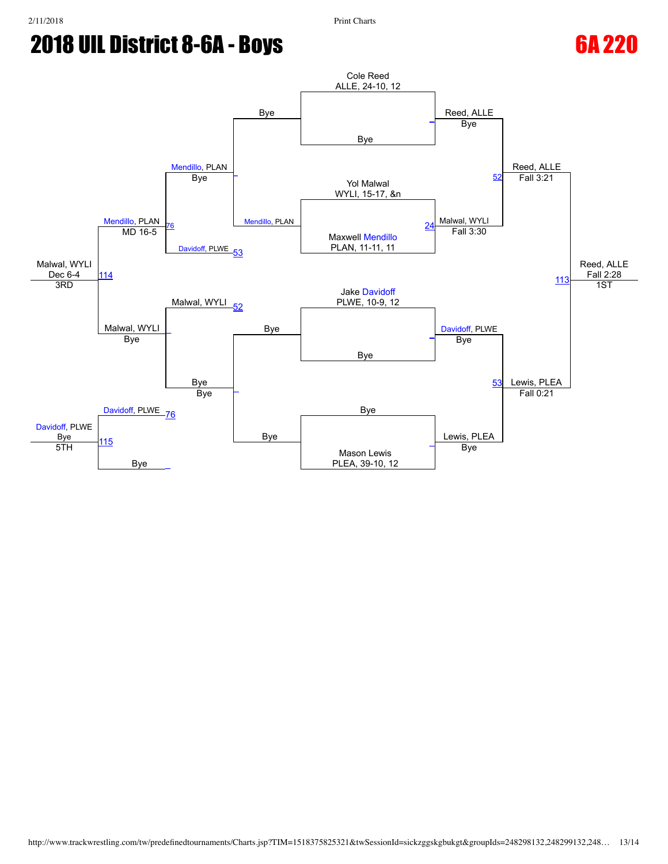